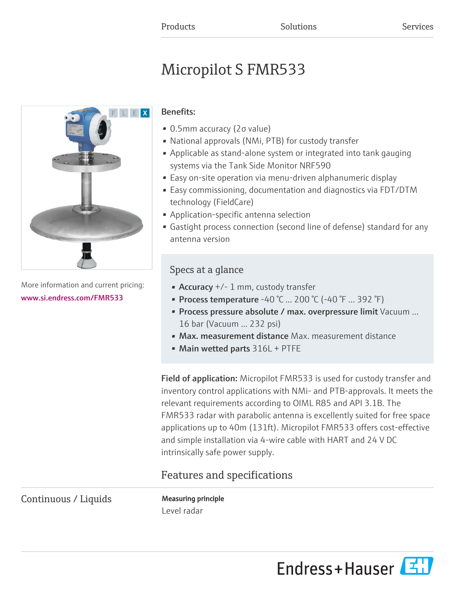# Micropilot S FMR533



More information and current pricing: [www.si.endress.com/FMR533](https://www.si.endress.com/FMR533)

### Benefits:

- 0.5mm accuracy (2σ value)
- National approvals (NMi, PTB) for custody transfer
- Applicable as stand-alone system or integrated into tank gauging systems via the Tank Side Monitor NRF590
- Easy on-site operation via menu-driven alphanumeric display
- Easy commissioning, documentation and diagnostics via FDT/DTM technology (FieldCare)
- Application-specific antenna selection
- Gastight process connection (second line of defense) standard for any antenna version

### Specs at a glance

- Accuracy +/- 1 mm, custody transfer
- Process temperature -40 °C ... 200 °C (-40 °F ... 392 °F)
- Process pressure absolute / max. overpressure limit Vacuum ... 16 bar (Vacuum ... 232 psi)
- Max. measurement distance Max. measurement distance
- Main wetted parts 316L + PTFE

Field of application: Micropilot FMR533 is used for custody transfer and inventory control applications with NMi- and PTB-approvals. It meets the relevant requirements according to OIML R85 and API 3.1B. The FMR533 radar with parabolic antenna is excellently suited for free space applications up to 40m (131ft). Micropilot FMR533 offers cost-effective and simple installation via 4-wire cable with HART and 24 V DC intrinsically safe power supply.

## Features and specifications

Continuous / Liquids Measuring principle

Level radar

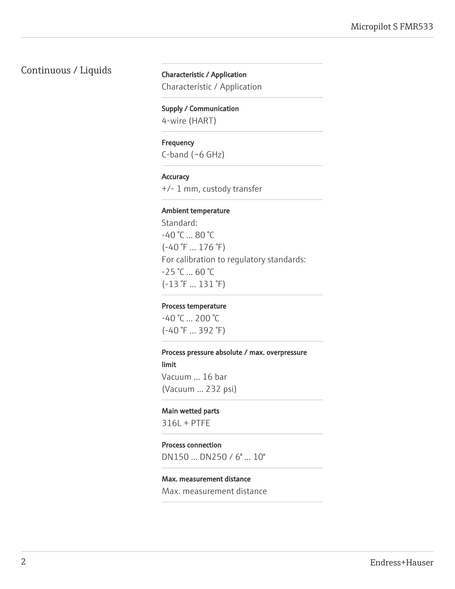### Continuous / Liquids Characteristic / Application

Characteristic / Application

#### Supply / Communication

4-wire (HART)

#### **Frequency**

C-band (~6 GHz)

#### **Accuracy**

+/- 1 mm, custody transfer

#### Ambient temperature

Standard: -40 °C ... 80 °C (-40 °F ... 176 °F) For calibration to regulatory standards:  $-25$  °C ... 60 °C (-13 °F ... 131 °F)

#### Process temperature

-40 °C ... 200 °C (-40 °F ... 392 °F)

#### Process pressure absolute / max. overpressure

limit Vacuum ... 16 bar (Vacuum ... 232 psi)

#### Main wetted parts

316L + PTFE

#### Process connection

DN150 ... DN250 / 6" ... 10"

#### Max. measurement distance

Max. measurement distance